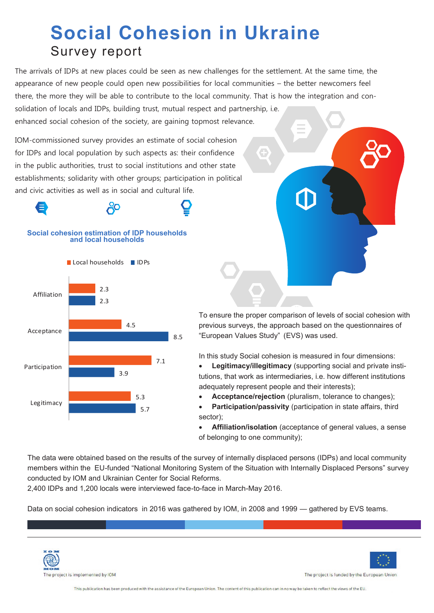## **Social Cohesion in Ukraine** Survey report

The arrivals of IDPs at new places could be seen as new challenges for the settlement. At the same time, the appearance of new people could open new possibilities for local communities – the better newcomers feel there, the more they will be able to contribute to the local community. That is how the integration and consolidation of locals and IDPs, building trust, mutual respect and partnership, i.e. enhanced social cohesion of the society, are gaining topmost relevance.

IOM-commissioned survey provides an estimate of social cohesion for IDPs and local population by such aspects as: their confidence in the public authorities, trust to social institutions and other state establishments; solidarity with other groups; participation in political and civic activities as well as in social and cultural life.





To ensure the proper comparison of levels of social cohesion with previous surveys, the approach based on the questionnaires of "European Values Study" (EVS) was used.

In this study Social cohesion is measured in four dimensions:

 **Legitimacy/illegitimacy** (supporting social and private institutions, that work as intermediaries, i.e. how different institutions adequately represent people and their interests);

**Acceptance/rejection** (pluralism, tolerance to changes);

 **Participation/passivity** (participation in state affairs, third sector);

 **Affiliation/isolation** (acceptance of general values, a sense of belonging to one community);

The data were obtained based on the results of the survey of internally displaced persons (IDPs) and local community members within the EU-funded "National Monitoring System of the Situation with Internally Displaced Persons" survey conducted by IOM and Ukrainian Center for Social Reforms.

2,400 IDPs and 1,200 locals were interviewed face-to-face in March-May 2016.

Data on social cohesion indicators in 2016 was gathered by IOM, in 2008 and 1999 — gathered by EVS teams.





The project is funded by the European Union

This publication has been produced with the assistance of the European Union. The content of this publication can in no way be taken to reflect the views of the EU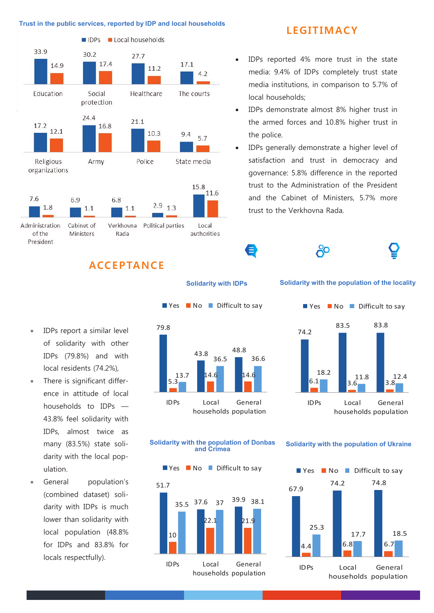

### **LEGITIMACY**

- IDPs reported 4% more trust in the state media: 9.4% of IDPs completely trust state media institutions, in comparison to 5.7% of local households;
- IDPs demonstrate almost 8% higher trust in the armed forces and 10.8% higher trust in the police.
- IDPs generally demonstrate a higher level of satisfaction and trust in democracy and governance: 5.8% difference in the reported trust to the Administration of the President and the Cabinet of Ministers, 5.7% more trust to the Verkhovna Rada.

දිං

## **ACC EP TANC E**

**Solidarity with IDPs**

Ξ

**Solidarity with the population of the locality**



#### **Solidarity with the population of Donbas and Crimea**



**Solidarity with the population of Ukraine**



- IDPs report a similar level of solidarity with other IDPs (79.8%) and with local residents (74.2%),
- There is significant differdarity with the local population.
- General population's (combined dataset) solidarity with IDPs is much lower than solidarity with local population (48.8% for IDPs and 83.8% for locals respectfully).

- ence in attitude of local households to IDPs — 43.8% feel solidarity with IDPs, almost twice as many (83.5%) state soli-
- 79.8
- 43.8 48.8 5.3 13.7 36.5 36.6 IDPs Local General

households population

# $\blacksquare$  Yes  $\blacksquare$  No  $\blacksquare$  Difficult to say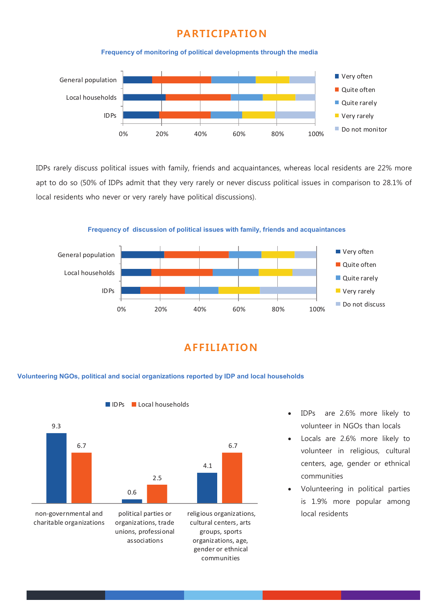#### **PARTICIPATION**





IDPs rarely discuss political issues with family, friends and acquaintances, whereas local residents are 22% more apt to do so (50% of IDPs admit that they very rarely or never discuss political issues in comparison to 28.1% of local residents who never or very rarely have political discussions).

**Frequency of discussion of political issues with family, friends and acquaintances**



## **A F F I L I AT ION**

#### **Volunteering NGOs, political and social organizations reported by IDP and local households**

IDPs Local households



 IDPs are 2.6% more likely to volunteer in NGOs than locals

- Locals are 2.6% more likely to volunteer in religious, cultural centers, age, gender or ethnical communities
- Volunteering in political parties is 1.9% more popular among local residents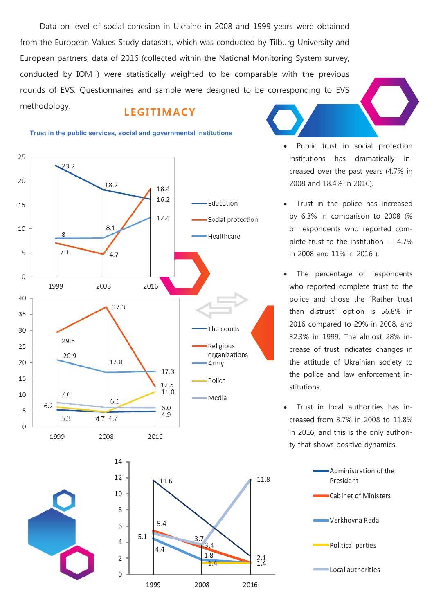Data on level of social cohesion in Ukraine in 2008 and 1999 years were obtained from the European Values Study datasets, which was conducted by Tilburg University and European partners, data of 2016 (collected within the National Monitoring System survey, conducted by IOM ) were statistically weighted to be comparable with the previous rounds of EVS. Questionnaires and sample were designed to be corresponding to EVS

methodology. **L EG IT IM ACY**

#### **Trust in the public services, social and governmental institutions**





 Public trust in social protection institutions has dramatically increased over the past years (4.7% in 2008 and 18.4% in 2016).

- Trust in the police has increased by 6.3% in comparison to 2008 (% of respondents who reported complete trust to the institution — 4.7% in 2008 and 11% in 2016 ).
- The percentage of respondents who reported complete trust to the police and chose the "Rather trust than distrust" option is 56.8% in 2016 compared to 29% in 2008, and 32.3% in 1999. The almost 28% increase of trust indicates changes in the attitude of Ukrainian society to the police and law enforcement institutions.
- Trust in local authorities has increased from 3.7% in 2008 to 11.8% in 2016, and this is the only authority that shows positive dynamics.